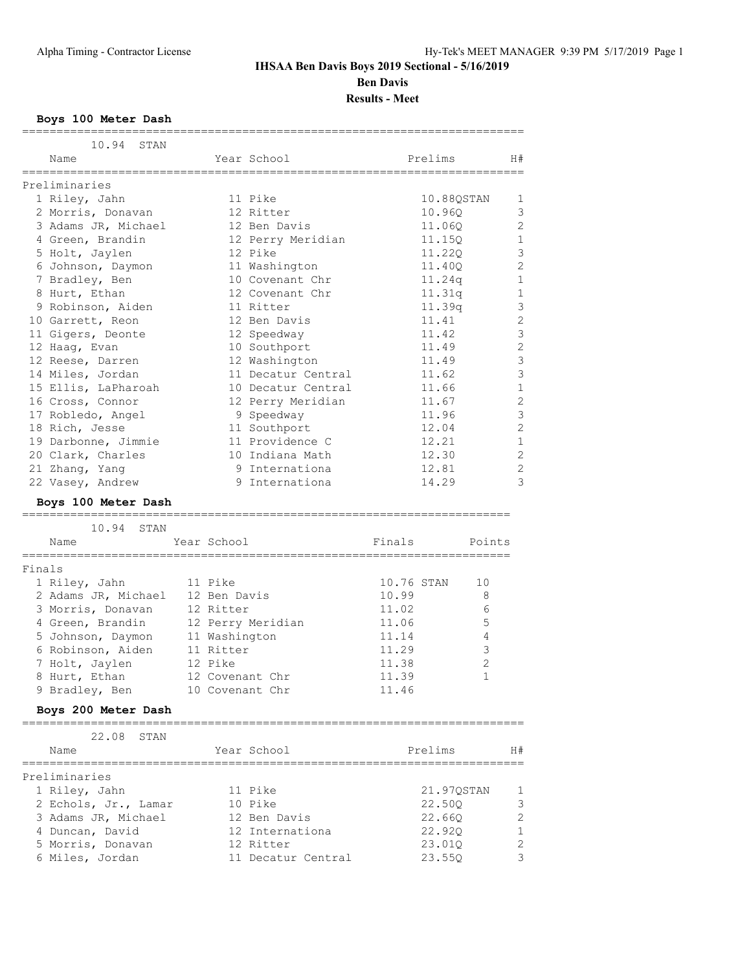**Results - Meet**

### **Boys 100 Meter Dash**

|        | =================<br>10.94 STAN<br>Name |                 | Year School                     |            | Prelims          | H#                  |
|--------|-----------------------------------------|-----------------|---------------------------------|------------|------------------|---------------------|
|        | ==================                      | =============== |                                 |            |                  |                     |
|        | Preliminaries                           |                 |                                 |            |                  |                     |
|        | 1 Riley, Jahn                           |                 | 11 Pike                         |            | 10.88QSTAN       | 1                   |
|        | 2 Morris, Donavan                       |                 | 12 Ritter                       |            | 10.96Q           | 3                   |
|        | 3 Adams JR, Michael                     |                 | 12 Ben Davis                    |            | 11.060           | 2                   |
|        | 4 Green, Brandin                        |                 | 12 Perry Meridian               |            | 11.15Q           | $\mathbf{1}$        |
|        | 5 Holt, Jaylen                          |                 | 12 Pike                         |            | 11.22Q           | 3                   |
|        | 6 Johnson, Daymon                       |                 | 11 Washington                   |            | 11.40Q           | $\overline{c}$      |
|        | 7 Bradley, Ben                          |                 | 10 Covenant Chr                 |            | 11.24q           | $\mathbf{1}$        |
|        | 8 Hurt, Ethan                           |                 | 12 Covenant Chr                 |            | 11.31q           | $1\,$               |
|        | 9 Robinson, Aiden                       |                 | 11 Ritter                       |            | 11.39q<br>11.41  | 3<br>$\overline{c}$ |
|        | 10 Garrett, Reon                        |                 | 12 Ben Davis                    |            |                  | 3                   |
|        | 11 Gigers, Deonte                       |                 | 12 Speedway                     |            | 11.42<br>11.49   | $\overline{c}$      |
|        | 12 Haag, Evan<br>12 Reese, Darren       |                 | 10 Southport<br>12 Washington   |            | 11.49            | 3                   |
|        | 14 Miles, Jordan                        |                 | 11 Decatur Central              |            | 11.62            | 3                   |
|        | 15 Ellis, LaPharoah                     |                 | 10 Decatur Central              |            | 11.66            | $\mathbf{1}$        |
|        | 16 Cross, Connor                        |                 | 12 Perry Meridian               |            | 11.67            | $\overline{c}$      |
|        | 17 Robledo, Angel                       |                 | 9 Speedway                      |            | 11.96            | 3                   |
|        | 18 Rich, Jesse                          |                 | 11 Southport                    |            | 12.04            | $\overline{2}$      |
|        | 19 Darbonne, Jimmie                     |                 | 11 Providence C                 |            | 12.21            | $\mathbf{1}$        |
|        | 20 Clark, Charles                       |                 | 10 Indiana Math                 |            | 12.30            | $\overline{c}$      |
|        | 21 Zhang, Yang                          |                 | 9 Internationa                  |            | 12.81            | $\overline{c}$      |
|        | 22 Vasey, Andrew                        |                 | 9 Internationa                  |            | 14.29            | 3                   |
|        | Boys 100 Meter Dash                     |                 |                                 |            |                  |                     |
|        |                                         |                 |                                 |            |                  |                     |
|        |                                         |                 |                                 |            |                  |                     |
|        | 10.94<br>STAN<br>Name                   | Year School     |                                 | Finals     |                  | Points              |
|        |                                         |                 |                                 |            |                  |                     |
| Finals |                                         |                 |                                 |            |                  |                     |
|        | 1 Riley, Jahn                           | 11 Pike         |                                 | 10.76 STAN |                  | 10                  |
|        | 2 Adams JR, Michael                     | 12 Ben Davis    |                                 | 10.99      |                  | 8                   |
|        | 3 Morris, Donavan                       | 12 Ritter       |                                 | 11.02      |                  | 6                   |
|        | 4 Green, Brandin                        |                 | 12 Perry Meridian               | 11.06      |                  | 5                   |
|        | 5 Johnson, Daymon                       | 11 Washington   |                                 | 11.14      |                  | 4                   |
|        | 6 Robinson, Aiden                       | 11 Ritter       |                                 | 11.29      |                  | 3                   |
|        | 7 Holt, Jaylen                          | 12 Pike         |                                 | 11.38      |                  | $\overline{c}$      |
|        | 8 Hurt, Ethan                           |                 | 12 Covenant Chr                 | 11.39      |                  | $\mathbf{1}$        |
|        | 9 Bradley, Ben                          |                 | 10 Covenant Chr                 | 11.46      |                  |                     |
|        | Boys 200 Meter Dash                     |                 |                                 |            |                  |                     |
|        | 22.08<br>STAN                           |                 |                                 |            |                  |                     |
|        | Name                                    |                 | Year School                     |            | Prelims          | H#                  |
|        | ===================                     |                 |                                 |            |                  |                     |
|        | Preliminaries                           |                 |                                 |            |                  |                     |
|        | 1 Riley, Jahn                           |                 | 11 Pike                         |            | 21.97QSTAN       | 1                   |
|        | 2 Echols, Jr., Lamar                    |                 | 10 Pike                         |            | 22.50Q           | 3                   |
|        | 3 Adams JR, Michael                     |                 | 12 Ben Davis                    |            | 22.660           |                     |
|        | 4 Duncan, David                         |                 | 12 Internationa                 |            | 22.920           | 1                   |
|        | 5 Morris, Donavan<br>6 Miles, Jordan    |                 | 12 Ritter<br>11 Decatur Central |            | 23.01Q<br>23.55Q | 2<br>3              |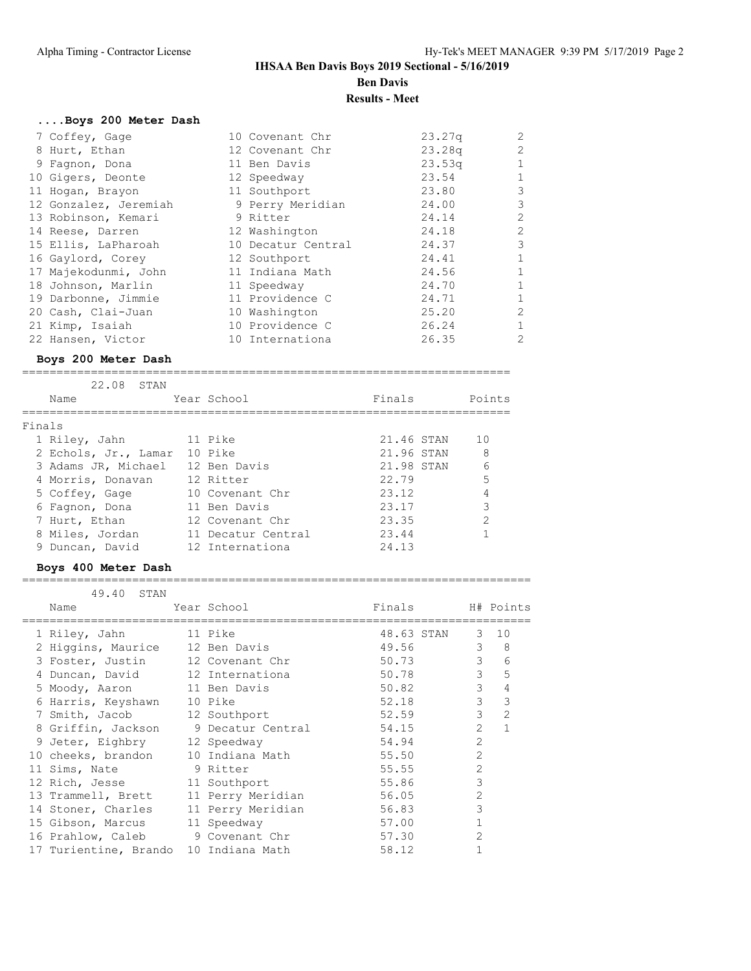**Results - Meet**

# **....Boys 200 Meter Dash**

| 7 Coffey, Gage        | 10 Covenant Chr    | 23.27q             | 2              |
|-----------------------|--------------------|--------------------|----------------|
| 8 Hurt, Ethan         | 12 Covenant Chr    | 23.28 <sub>q</sub> | 2              |
| 9 Fagnon, Dona        | 11 Ben Davis       | 23.53q             | $\mathbf{1}$   |
| 10 Gigers, Deonte     | 12 Speedway        | 23.54              |                |
| 11 Hogan, Brayon      | 11 Southport       | 23.80              | 3              |
| 12 Gonzalez, Jeremiah | 9 Perry Meridian   | 24.00              | 3              |
| 13 Robinson, Kemari   | 9 Ritter           | 24.14              | 2              |
| 14 Reese, Darren      | 12 Washington      | 24.18              | 2              |
| 15 Ellis, LaPharoah   | 10 Decatur Central | 24.37              | 3              |
| 16 Gaylord, Corey     | 12 Southport       | 24.41              |                |
| 17 Majekodunmi, John  | 11 Indiana Math    | 24.56              | $\mathbf{1}$   |
| 18 Johnson, Marlin    | 11 Speedway        | 24.70              | $\mathbf{1}$   |
| 19 Darbonne, Jimmie   | 11 Providence C    | 24.71              |                |
| 20 Cash, Clai-Juan    | 10 Washington      | 25.20              | 2              |
| 21 Kimp, Isaiah       | 10 Providence C    | 26.24              | $\mathbf{1}$   |
| 22 Hansen, Victor     | 10 Internationa    | 26.35              | $\overline{2}$ |

#### **Boys 200 Meter Dash**

=======================================================================

| 22.08<br>STAN        |                    |            |               |
|----------------------|--------------------|------------|---------------|
| Name                 | Year School        | Finals     | Points        |
| Finals               |                    |            |               |
| 1 Riley, Jahn        | 11 Pike            | 21.46 STAN | 10            |
| 2 Echols, Jr., Lamar | 10 Pike            | 21,96 STAN | 8             |
| 3 Adams JR, Michael  | 12 Ben Davis       | 21.98 STAN | 6             |
| 4 Morris, Donavan    | 12 Ritter          | 22.79      | 5             |
| 5 Coffey, Gage       | 10 Covenant Chr    | 23.12      | 4             |
| 6 Fagnon, Dona       | 11 Ben Davis       | 23.17      | 3             |
| 7 Hurt, Ethan        | 12 Covenant Chr    | 23.35      | $\mathcal{P}$ |
| 8 Miles, Jordan      | 11 Decatur Central | 23.44      |               |
| 9 Duncan, David      | 12 Internationa    | 24.13      |               |

### **Boys 400 Meter Dash**

#### ==========================================================================

| 49.40 STAN                            |                   |                  |                |                     |
|---------------------------------------|-------------------|------------------|----------------|---------------------|
| Name                                  | Year School       | Finals H# Points |                |                     |
| 1 Riley, Jahn                         | 11 Pike           | 48.63 STAN 3 10  |                |                     |
| 2 Higgins, Maurice 12 Ben Davis       |                   | 49.56 7          |                | $3 \quad 8$         |
| 3 Foster, Justin                      | 12 Covenant Chr   | 50.73            |                | $3^{\circ}$<br>6    |
| 4 Duncan, David 12 Internationa       |                   | 50.78            |                | 3 <sup>7</sup><br>5 |
| 5 Moody, Aaron 11 Ben Davis           |                   | 50.82            | $\mathcal{S}$  | 4                   |
| 6 Harris, Keyshawn                    | 10 Pike           | 52.18            | $\mathcal{E}$  | 3                   |
| 7 Smith, Jacob                        | 12 Southport      | 52.59            | $\mathcal{B}$  | $\overline{2}$      |
| 8 Griffin, Jackson 9 Decatur Central  |                   | 54.15            | $\mathcal{L}$  | $\mathbf{1}$        |
| 9 Jeter, Eighbry 12 Speedway          |                   | 54.94            | $\overline{2}$ |                     |
| 10 cheeks, brandon 10 Indiana Math    |                   | 55.50            | $\mathcal{L}$  |                     |
| 11 Sims, Nate 9 Ritter                |                   | 55.55            | $\overline{2}$ |                     |
| 12 Rich, Jesse 11 Southport           |                   | 55.86            | 3              |                     |
| 13 Trammell, Brett                    | 11 Perry Meridian | 56.05            | $\overline{2}$ |                     |
| 14 Stoner, Charles                    | 11 Perry Meridian | 56.83            | 3              |                     |
| 15 Gibson, Marcus                     | 11 Speedway       | 57.00            | $\mathbf{1}$   |                     |
| 16 Prahlow, Caleb 9 Covenant Chr      |                   | 57.30            | $\overline{2}$ |                     |
| 17 Turientine, Brando 10 Indiana Math |                   | 58.12            |                |                     |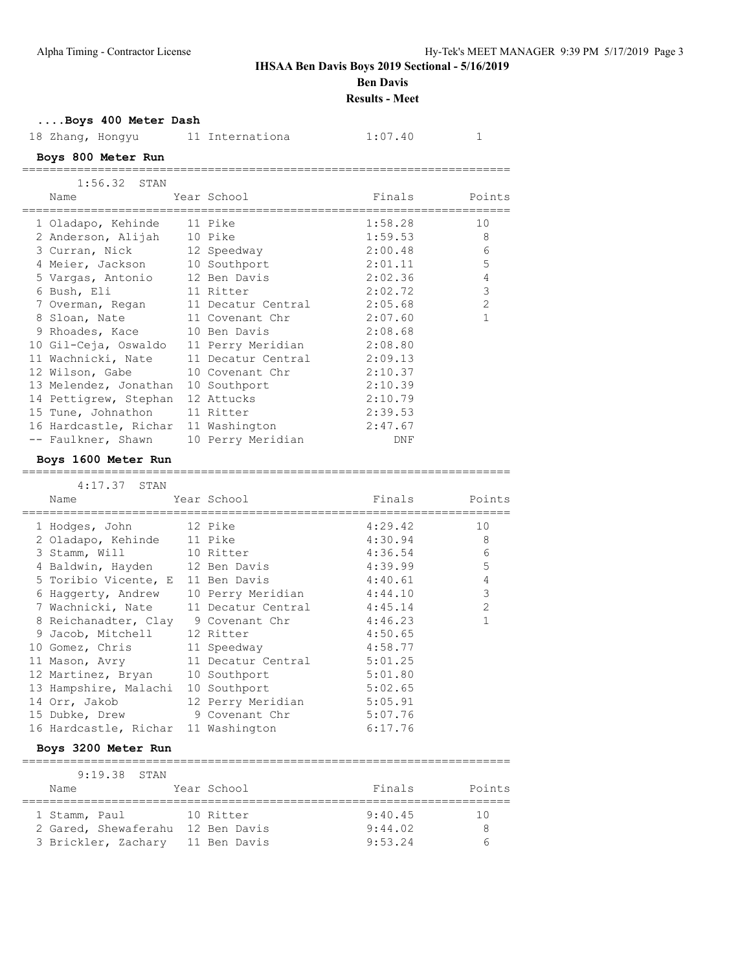**Ben Davis**

**Results - Meet**

#### **....Boys 400 Meter Dash**

| 18 Zhang, Hongyu      | 11 Internationa    | 1:07.40    | $\mathbf{1}$   |
|-----------------------|--------------------|------------|----------------|
| Boys 800 Meter Run    |                    |            |                |
| $1:56.32$ STAN        |                    |            |                |
| Name                  | Year School        | Finals     | Points         |
| 1 Oladapo, Kehinde    | 11 Pike            | 1:58.28    | 10             |
| 2 Anderson, Alijah    | 10 Pike            | 1:59.53    | 8              |
| 3 Curran, Nick        | 12 Speedway        | 2:00.48    | 6              |
| 4 Meier, Jackson      | 10 Southport       | 2:01.11    | 5              |
| 5 Vargas, Antonio     | 12 Ben Davis       | 2:02.36    | $\overline{4}$ |
| 6 Bush, Eli           | 11 Ritter          | 2:02.72    | 3              |
| 7 Overman, Regan      | 11 Decatur Central | 2:05.68    | $\overline{2}$ |
| 8 Sloan, Nate         | 11 Covenant Chr    | 2:07.60    | $\mathbf{1}$   |
| 9 Rhoades, Kace       | 10 Ben Davis       | 2:08.68    |                |
| 10 Gil-Ceja, Oswaldo  | 11 Perry Meridian  | 2:08.80    |                |
| 11 Wachnicki, Nate    | 11 Decatur Central | 2:09.13    |                |
| 12 Wilson, Gabe       | 10 Covenant Chr    | 2:10.37    |                |
| 13 Melendez, Jonathan | 10 Southport       | 2:10.39    |                |
| 14 Pettigrew, Stephan | 12 Attucks         | 2:10.79    |                |
| 15 Tune, Johnathon    | 11 Ritter          | 2:39.53    |                |
| 16 Hardcastle, Richar | 11 Washington      | 2:47.67    |                |
| -- Faulkner, Shawn    | 10 Perry Meridian  | <b>DNF</b> |                |
| Boys 1600 Meter Run   |                    |            |                |
| $4:17.37$ STAN        |                    |            |                |
| Name                  | Year School        | Finals     | Points         |
| 1 Hodges, John        | 12 Pike            | 4:29.42    | 10             |
| 2 Oladapo, Kehinde    | 11 Pike            | 4:30.94    | 8              |
| 3 Stamm, Will         | 10 Ritter          | 4:36.54    | 6              |
| 4 Baldwin, Hayden     | 12 Ben Davis       | 4:39.99    | 5              |
| 5 Toribio Vicente, E  | 11 Ben Davis       | 4:40.61    | 4              |
| 6 Haggerty, Andrew    | 10 Perry Meridian  | 4:44.10    | 3              |

|             | Boys 3200 Meter Run |         |                        |          |
|-------------|---------------------|---------|------------------------|----------|
|             | 9:19.38 STAN        |         |                        |          |
| $NT - ma -$ |                     | $V = 1$ | $E = 1.64 \times 1.64$ | مطمئ مدت |

9 Jacob, Mitchell 12 Ritter 4:50.65 10 Gomez, Chris 11 Speedway 1:58.77 11 Mason, Avry 11 Decatur Central 5:01.25 12 Martinez, Bryan 10 Southport 5:01.80 13 Hampshire, Malachi 10 Southport 5:02.65 14 Orr, Jakob 12 Perry Meridian 5:05.91 15 Dubke, Drew 9 Covenant Chr 5:07.76 16 Hardcastle, Richar 11 Washington 6:17.76

7 Wachnicki, Nate 11 Decatur Central 1:45.14 2 8 Reichanadter, Clay 9 Covenant Chr 4:46.23 1

| Name                              | Year School | Finals  | Points |
|-----------------------------------|-------------|---------|--------|
| 1 Stamm, Paul                     | 10 Ritter   | 9:40.45 | 1 N    |
| 2 Gared, Shewaferahu 12 Ben Davis |             | 9:44.02 |        |
| 3 Brickler, Zachary 11 Ben Davis  |             | 9:53.24 | $\sim$ |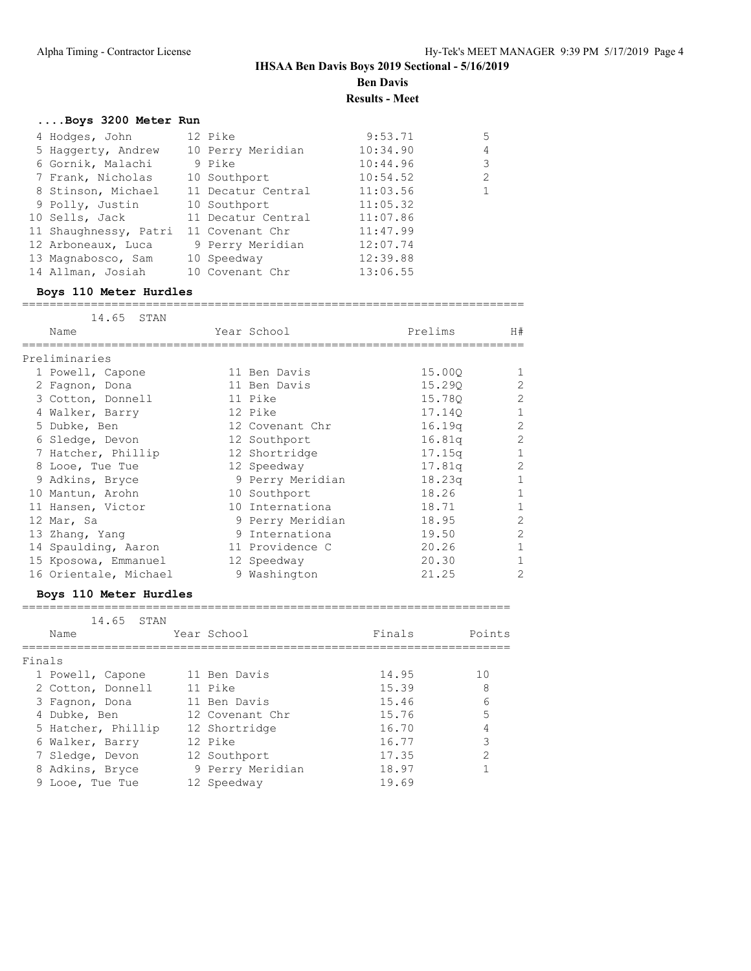**Results - Meet**

# **....Boys 3200 Meter Run**

| 4 Hodges, John        | 12 Pike            | 9:53.71  | 5              |
|-----------------------|--------------------|----------|----------------|
| 5 Haggerty, Andrew    | 10 Perry Meridian  | 10:34.90 | 4              |
| 6 Gornik, Malachi     | 9 Pike             | 10:44.96 | 3              |
| 7 Frank, Nicholas     | 10 Southport       | 10:54.52 | $\mathfrak{D}$ |
| 8 Stinson, Michael    | 11 Decatur Central | 11:03.56 |                |
| 9 Polly, Justin       | 10 Southport       | 11:05.32 |                |
| 10 Sells, Jack        | 11 Decatur Central | 11:07.86 |                |
| 11 Shaughnessy, Patri | 11 Covenant Chr    | 11:47.99 |                |
| 12 Arboneaux, Luca    | 9 Perry Meridian   | 12:07.74 |                |
| 13 Magnabosco, Sam    | 10 Speedway        | 12:39.88 |                |
| 14 Allman, Josiah     | 10 Covenant Chr    | 13:06.55 |                |

#### **Boys 110 Meter Hurdles** =========================================================================

| 14.65 STAN            |                  |         |                |
|-----------------------|------------------|---------|----------------|
| Name                  | Year School      | Prelims | H#             |
| Preliminaries         |                  |         |                |
| 1 Powell, Capone      | 11 Ben Davis     | 15.000  | -1             |
| 2 Fagnon, Dona        | 11 Ben Davis     | 15.290  | 2              |
| 3 Cotton, Donnell     | 11 Pike          | 15.780  | $\mathfrak{D}$ |
| 4 Walker, Barry       | 12 Pike          | 17.140  | $\mathbf{1}$   |
| 5 Dubke, Ben          | 12 Covenant Chr  | 16.19q  | $\overline{2}$ |
| 6 Sledge, Devon       | 12 Southport     | 16.81q  | $\mathfrak{D}$ |
| 7 Hatcher, Phillip    | 12 Shortridge    | 17.15q  | 1              |
| 8 Looe, Tue Tue       | 12 Speedway      | 17.81q  | $\mathfrak{D}$ |
| 9 Adkins, Bryce       | 9 Perry Meridian | 18.23q  | 1              |
| 10 Mantun, Arohn      | 10 Southport     | 18.26   | 1              |
| 11 Hansen, Victor     | 10 Internationa  | 18.71   | 1              |
| 12 Mar, Sa            | 9 Perry Meridian | 18.95   | $\overline{2}$ |
| 13 Zhang, Yang        | 9 Internationa   | 19.50   | 2              |
| 14 Spaulding, Aaron   | 11 Providence C  | 20.26   | 1              |
| 15 Kposowa, Emmanuel  | 12 Speedway      | 20.30   | 1              |
| 16 Orientale, Michael | 9 Washington     | 21.25   | 2              |

#### **Boys 110 Meter Hurdles**

|        | 14.65<br>STAN      |                  |        |                |
|--------|--------------------|------------------|--------|----------------|
|        | Name               | Year School      | Finals | Points         |
| Finals |                    |                  |        |                |
|        | 1 Powell, Capone   | 11 Ben Davis     | 14.95  | 1 <sub>0</sub> |
|        | 2 Cotton, Donnell  | 11 Pike          | 15.39  | 8              |
|        | 3 Fagnon, Dona     | 11 Ben Davis     | 15.46  | 6              |
|        | 4 Dubke, Ben       | 12 Covenant Chr  | 15.76  | 5              |
|        | 5 Hatcher, Phillip | 12 Shortridge    | 16.70  | 4              |
|        | 6 Walker, Barry    | 12 Pike          | 16.77  | 3              |
|        | 7 Sledge, Devon    | 12 Southport     | 17.35  | $\mathcal{D}$  |
|        | 8 Adkins, Bryce    | 9 Perry Meridian | 18.97  |                |
|        | 9 Looe, Tue Tue    | 12 Speedway      | 19.69  |                |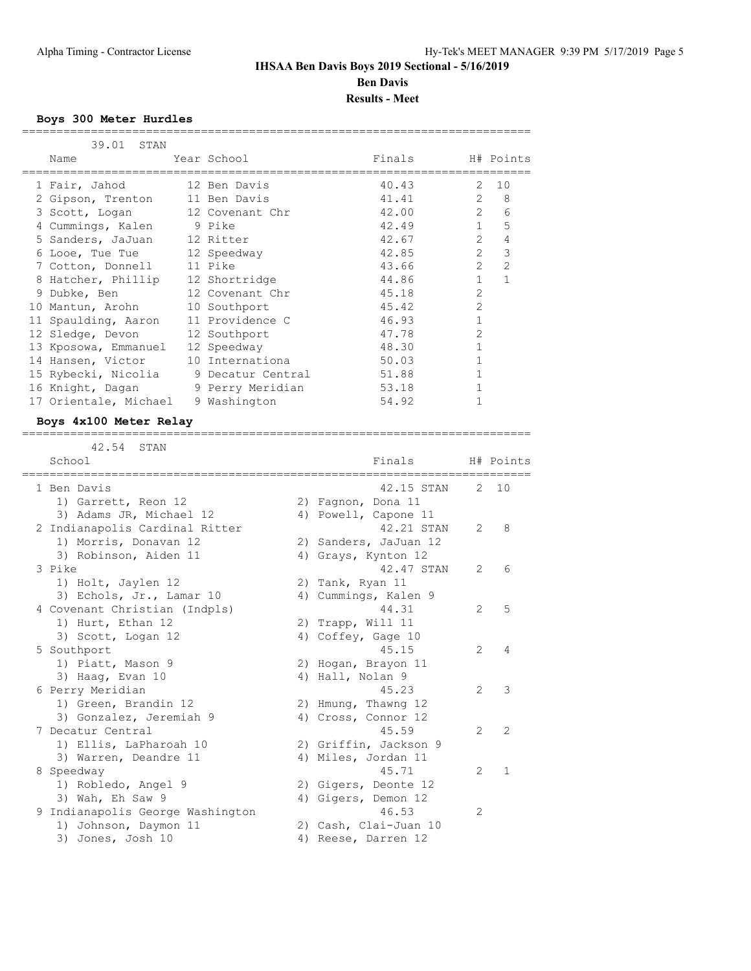**Results - Meet**

#### **Boys 300 Meter Hurdles**

| 39.01 STAN                            |                  |        |                |                |
|---------------------------------------|------------------|--------|----------------|----------------|
| Name                                  | Year School      | Finals |                | H# Points      |
| 1 Fair, Jahod                         | 12 Ben Davis     | 40.43  | $2^{\circ}$    | 10             |
| 2 Gipson, Trenton                     | 11 Ben Davis     | 41.41  | $\mathcal{L}$  | 8              |
| 3 Scott, Logan 12 Covenant Chr        |                  | 42.00  | $\mathcal{L}$  | 6              |
| 4 Cummings, Kalen 9 Pike              |                  | 42.49  | $\mathbf{1}$   | 5              |
| 5 Sanders, JaJuan 12 Ritter           |                  | 42.67  | $\mathcal{L}$  | $\overline{4}$ |
| 6 Looe, Tue Tue                       | 12 Speedway      | 42.85  | $\mathcal{L}$  | 3              |
| 7 Cotton, Donnell                     | 11 Pike          | 43.66  | $\overline{2}$ | $\overline{2}$ |
| 8 Hatcher, Phillip                    | 12 Shortridge    | 44.86  | $\mathbf{1}$   | 1              |
| 9 Dubke, Ben                          | 12 Covenant Chr  | 45.18  | $\mathcal{L}$  |                |
| 10 Mantun, Arohn                      | 10 Southport     | 45.42  | $\overline{2}$ |                |
| 11 Spaulding, Aaron                   | 11 Providence C  | 46.93  |                |                |
| 12 Sledge, Devon                      | 12 Southport     | 47.78  | $\mathfrak{D}$ |                |
| 13 Kposowa, Emmanuel                  | 12 Speedway      | 48.30  |                |                |
| 14 Hansen, Victor                     | 10 Internationa  | 50.03  |                |                |
| 15 Rybecki, Nicolia 9 Decatur Central |                  | 51.88  |                |                |
| 16 Knight, Dagan                      | 9 Perry Meridian | 53.18  |                |                |
| 17 Orientale, Michael                 | 9 Washington     | 54.92  |                |                |

==========================================================================

#### **Boys 4x100 Meter Relay**

==========================================================================

| 42.54 STAN                       |                                      |                |               |
|----------------------------------|--------------------------------------|----------------|---------------|
| School                           | Finals<br>============<br>========== |                | H# Points     |
| 1 Ben Davis                      | 42.15 STAN                           |                | 2, 10         |
| 1) Garrett, Reon 12              | 2) Fagnon, Dona 11                   |                |               |
| 3) Adams JR, Michael 12          | 4) Powell, Capone 11                 |                |               |
| 2 Indianapolis Cardinal Ritter   | 42.21 STAN                           | $\overline{2}$ | 8             |
| 1) Morris, Donavan 12            | 2) Sanders, JaJuan 12                |                |               |
| 3) Robinson, Aiden 11            | 4) Grays, Kynton 12                  |                |               |
| 3 Pike                           | 42.47 STAN                           | $\mathcal{L}$  | 6             |
| 1) Holt, Jaylen 12               | 2) Tank, Ryan 11                     |                |               |
| 3) Echols, Jr., Lamar 10         | 4) Cummings, Kalen 9                 |                |               |
| 4 Covenant Christian (Indpls)    | 44.31                                | 2              | 5             |
| 1) Hurt, Ethan 12                | 2) Trapp, Will 11                    |                |               |
| 3) Scott, Logan 12               | 4) Coffey, Gage 10                   |                |               |
| 5 Southport                      | 45.15                                | $\mathfrak{L}$ | 4             |
| 1) Piatt, Mason 9                | 2) Hogan, Brayon 11                  |                |               |
| 3) Haaq, Evan 10                 | 4) Hall, Nolan 9                     |                |               |
| 6 Perry Meridian                 | 45.23                                | $\mathfrak{D}$ | 3             |
| 1) Green, Brandin 12             | 2) Hmung, Thawng 12                  |                |               |
| 3) Gonzalez, Jeremiah 9          | 4) Cross, Connor 12                  |                |               |
| 7 Decatur Central                | 45.59                                | $\mathcal{L}$  | $\mathcal{P}$ |
| 1) Ellis, LaPharoah 10           | 2) Griffin, Jackson 9                |                |               |
| 3) Warren, Deandre 11            | 4) Miles, Jordan 11                  |                |               |
| 8 Speedway                       | 45.71                                | $\mathfrak{D}$ | $\mathbf{1}$  |
| 1) Robledo, Angel 9              | 2) Gigers, Deonte 12                 |                |               |
| 3) Wah, Eh Saw 9                 | 4) Gigers, Demon 12                  |                |               |
| 9 Indianapolis George Washington | 46.53                                | $\mathcal{L}$  |               |
| 1) Johnson, Daymon 11            | 2) Cash, Clai-Juan 10                |                |               |
| 3) Jones, Josh 10                | 4) Reese, Darren 12                  |                |               |
|                                  |                                      |                |               |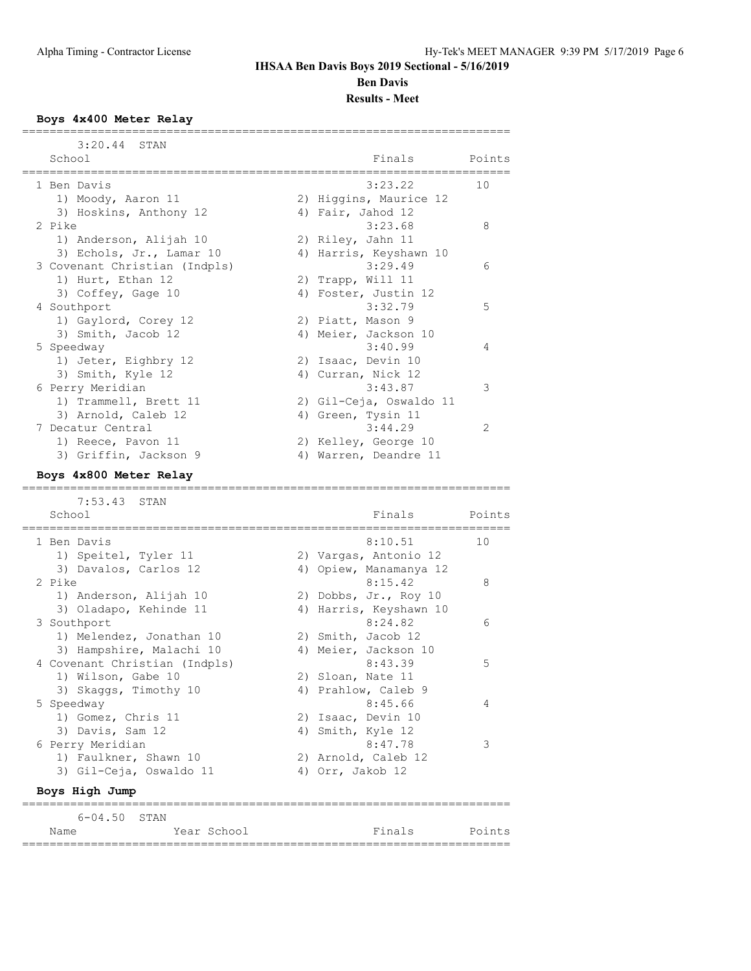**Results - Meet**

#### **Boys 4x400 Meter Relay**

| 3:20.44<br>STAN                                                |                         |        |
|----------------------------------------------------------------|-------------------------|--------|
| School                                                         | Finals                  | Points |
| l Ben Davis                                                    | 3:23.22                 | 10     |
| 1) Moody, Aaron 11                                             | 2) Higgins, Maurice 12  |        |
| 3) Hoskins, Anthony 12                                         | 4) Fair, Jahod 12       |        |
| 2 Pike                                                         | 3:23.68                 | 8      |
| 1) Anderson, Alijah 10                                         | 2) Riley, Jahn 11       |        |
| 3) Echols, Jr., Lamar 10                                       | 4) Harris, Keyshawn 10  |        |
| 3 Covenant Christian (Indpls)                                  | 3:29.49                 | 6      |
| 1) Hurt, Ethan 12                                              | 2) Trapp, Will 11       |        |
| 3) Coffey, Gage 10                                             | 4) Foster, Justin 12    |        |
| 4 Southport                                                    | 3:32.79                 | 5      |
| 1) Gaylord, Corey 12                                           | 2) Piatt, Mason 9       |        |
| 3) Smith, Jacob 12                                             | 4) Meier, Jackson 10    |        |
| 5 Speedway                                                     | 3:40.99                 | 4      |
| 1) Jeter, Eighbry 12                                           | 2) Isaac, Devin 10      |        |
| 3) Smith, Kyle 12                                              | 4) Curran, Nick 12      |        |
| 6 Perry Meridian                                               | 3:43.87                 | 3      |
| 1) Trammell, Brett 11                                          | 2) Gil-Ceja, Oswaldo 11 |        |
| 3) Arnold, Caleb 12                                            | 4) Green, Tysin 11      |        |
| 7 Decatur Central                                              | 3:44.29                 | 2      |
| 1) Reece, Pavon 11                                             | 2) Kelley, George 10    |        |
| 3) Griffin, Jackson 9                                          | 4) Warren, Deandre 11   |        |
| Boys 4x800 Meter Relay                                         |                         |        |
|                                                                |                         |        |
| 7:53.43<br>STAN                                                |                         |        |
| School<br>===========<br>;==================================== | Finals                  | Points |
|                                                                |                         |        |
| 1 Ben Davis                                                    | 8:10.51                 | 10     |
| 1) Speitel, Tyler 11                                           | 2) Vargas, Antonio 12   |        |
| 3) Davalos, Carlos 12                                          | 4) Opiew, Manamanya 12  |        |
| 2 Pike                                                         | 8:15.42                 | 8      |
| 1) Anderson, Alijah 10                                         | 2) Dobbs, Jr., Roy 10   |        |
| 3) Oladapo, Kehinde 11                                         | 4) Harris, Keyshawn 10  |        |
| 3 Southport                                                    | 8:24.82                 | 6      |
| 1) Melendez, Jonathan 10                                       | 2) Smith, Jacob 12      |        |
| 3) Hampshire, Malachi 10                                       | 4) Meier, Jackson 10    |        |
| 4 Covenant Christian (Indpls)                                  | 8:43.39                 | 5      |
| 1) Wilson, Gabe 10                                             | 2) Sloan, Nate 11       |        |
| 3) Skaggs, Timothy 10                                          | 4) Prahlow, Caleb 9     |        |
| 5 Speedway                                                     | 8:45.66                 | 4      |
| 1) Gomez, Chris 11                                             | 2) Isaac, Devin 10      |        |
| 3) Davis, Sam 12                                               | 4) Smith, Kyle 12       |        |
| 6 Perry Meridian                                               | 8:47.78                 | 3      |
| 1) Faulkner, Shawn 10                                          | 2) Arnold, Caleb 12     |        |
| 3) Gil-Ceja, Oswaldo 11                                        | 4) Orr, Jakob 12        |        |
| Boys High Jump                                                 |                         |        |
| =====================<br>$6 - 04.50$<br>STAN                   |                         |        |
| Year School<br>Name<br>=============================           | Finals                  | Points |

=======================================================================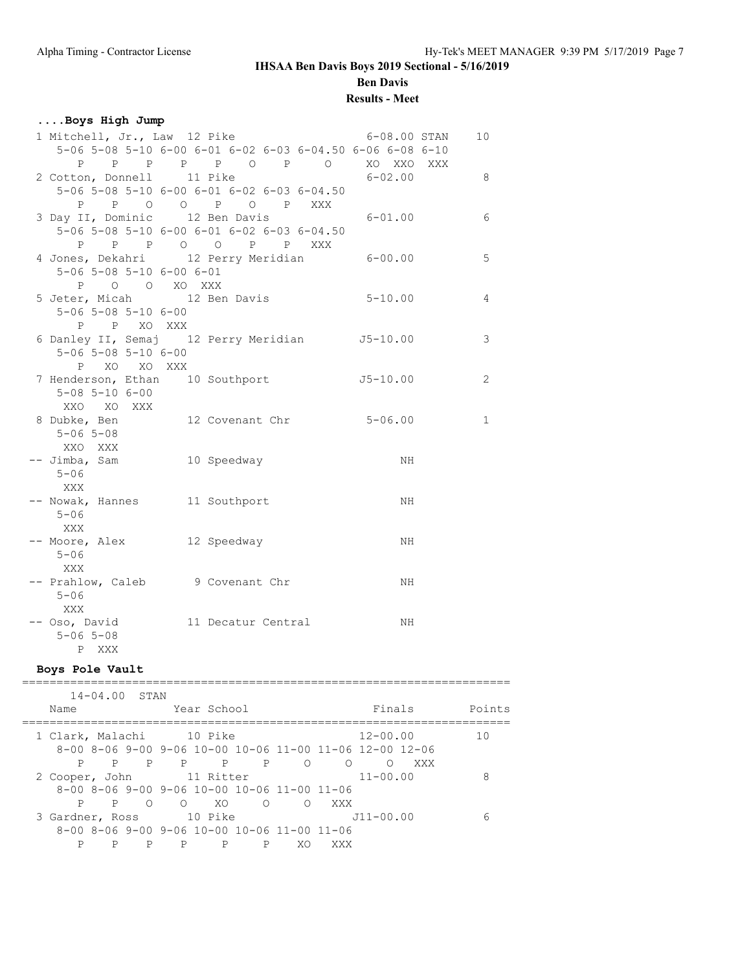**Ben Davis**

### **Results - Meet**

| Boys High Jump |  |
|----------------|--|
|----------------|--|

| 1 Mitchell, Jr., Law 12 Pike                              | 6-08.00 STAN | 10             |
|-----------------------------------------------------------|--------------|----------------|
| 5-06 5-08 5-10 6-00 6-01 6-02 6-03 6-04.50 6-06 6-08 6-10 |              |                |
| P P P P P O P O XO XXO XXX                                |              |                |
| 2 Cotton, Donnell 11 Pike                                 | $6 - 02.00$  | - 8            |
| 5-06 5-08 5-10 6-00 6-01 6-02 6-03 6-04.50                |              |                |
| P P O O P O P XXX                                         |              |                |
| 3 Day II, Dominic 12 Ben Davis 6-01.00                    |              | 6              |
| 5-06 5-08 5-10 6-00 6-01 6-02 6-03 6-04.50                |              |                |
|                                                           |              |                |
| 4 Jones, Dekahri 12 Perry Meridian 6-00.00                |              | 5              |
| $5 - 06$ $5 - 08$ $5 - 10$ $6 - 00$ $6 - 01$              |              |                |
| P O O XO XXX                                              |              |                |
| 5 Jeter, Micah 12 Ben Davis                               | $5 - 10.00$  | $\overline{4}$ |
| $5 - 06$ $5 - 08$ $5 - 10$ $6 - 00$                       |              |                |
| P P XO XXX                                                |              |                |
| 6 Danley II, Semaj 12 Perry Meridian J5-10.00             |              | $\mathbf{3}$   |
| $5 - 06$ $5 - 08$ $5 - 10$ $6 - 00$                       |              |                |
| P XO XO XXX                                               |              |                |
| 7 Henderson, Ethan 10 Southport                           | $J5-10.00$   | $\overline{c}$ |
| $5 - 08$ $5 - 10$ $6 - 00$                                |              |                |
| XXO XO XXX                                                |              |                |
| 8 Dubke, Ben 12 Covenant Chr 5-06.00                      |              | $\mathbf{1}$   |
| $5 - 06$ $5 - 08$                                         |              |                |
| XXO XXX                                                   |              |                |
| 10 Speedway<br>-- Jimba, Sam                              | NH.          |                |
| $5 - 06$                                                  |              |                |
| XXX                                                       |              |                |
| -- Nowak, Hannes 11 Southport                             | NH           |                |
| $5 - 06$                                                  |              |                |
| XXX                                                       |              |                |
| -- Moore, Alex 12 Speedway                                | NH           |                |
| $5 - 06$                                                  |              |                |
| XXX                                                       |              |                |
| -- Prahlow, Caleb 9 Covenant Chr                          | ΝH           |                |
| $5 - 06$                                                  |              |                |
| XXX                                                       |              |                |
| -- Oso, David 11 Decatur Central                          | NH           |                |
| $5 - 06$ 5-08                                             |              |                |
| P XXX                                                     |              |                |

#### **Boys Pole Vault**

|                          |   | $14 - 04.00$ STAN |            |             |        |                                                             |     |               |     |        |
|--------------------------|---|-------------------|------------|-------------|--------|-------------------------------------------------------------|-----|---------------|-----|--------|
| Name                     |   |                   |            | Year School |        |                                                             |     | Finals        |     | Points |
| 1 Clark, Malachi 10 Pike |   |                   |            |             |        |                                                             |     | $12 - 00.00$  |     | 10     |
|                          |   |                   |            |             |        | 8-00 8-06 9-00 9-06 10-00 10-06 11-00 11-06 12-00 12-06     |     |               |     |        |
| P                        | P | P                 | P          |             | P<br>P | $\bigcirc$                                                  | ∩   | ∩             | XXX |        |
| 2 Cooper, John           |   |                   |            | 11 Ritter   |        |                                                             |     | $11 - 00.00$  |     | 8      |
|                          |   |                   |            |             |        | $8-00$ $8-06$ $9-00$ $9-06$ $10-00$ $10-06$ $11-00$ $11-06$ |     |               |     |        |
| P                        | P | ∩                 | $\bigcirc$ | - XO        | ∩      | ∩                                                           | XXX |               |     |        |
| 3 Gardner, Ross          |   |                   |            | 10 Pike     |        |                                                             |     | $J11 - 00.00$ |     | 6      |
|                          |   |                   |            |             |        | $8-00$ $8-06$ $9-00$ $9-06$ $10-00$ $10-06$ $11-00$ $11-06$ |     |               |     |        |
| P                        | P | P                 | P          | P           | P      | XO                                                          | XXX |               |     |        |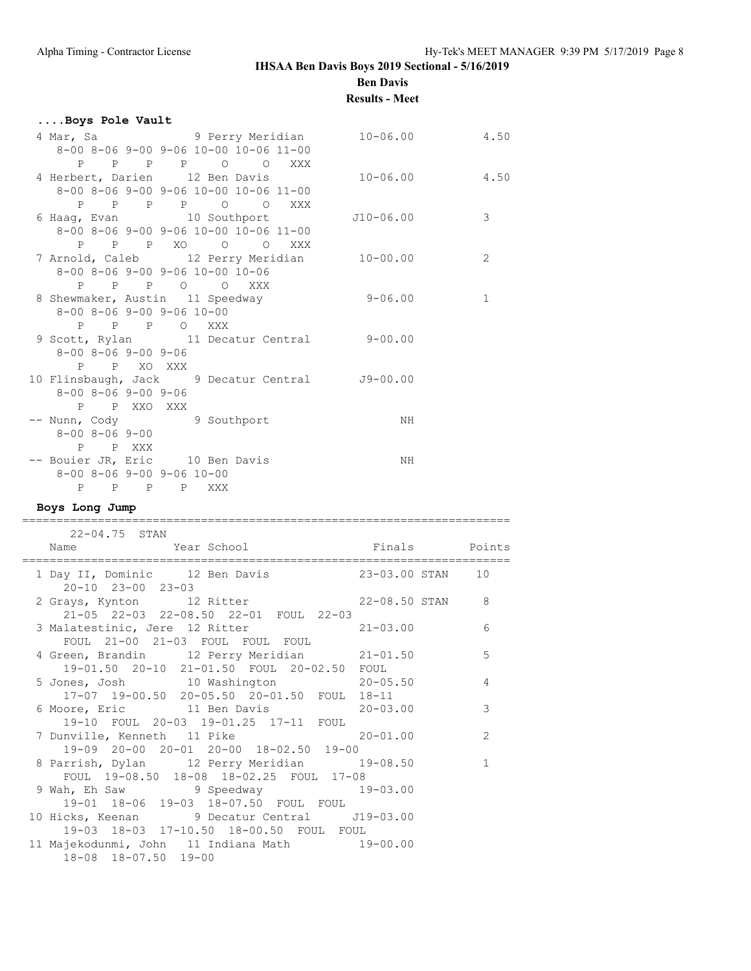**Ben Davis**

### **Results - Meet**

|  | Boys Pole Vault                                      |             |                                                                                               |                       |                 |                |                 |
|--|------------------------------------------------------|-------------|-----------------------------------------------------------------------------------------------|-----------------------|-----------------|----------------|-----------------|
|  |                                                      |             | 4 Mar, Sa (a) 9 Perry Meridian (a) 10-06.00 (a) 4.50<br>8-00 8-06 9-00 9-06 10-00 10-06 11-00 |                       |                 |                |                 |
|  |                                                      |             | P P P P O O XXX                                                                               |                       |                 |                |                 |
|  |                                                      |             | 4 Herbert, Darien 12 Ben Davis                                                                |                       | $10 - 06.00$    |                | 4.50            |
|  |                                                      |             | 8-00 8-06 9-00 9-06 10-00 10-06 11-00                                                         |                       |                 |                |                 |
|  |                                                      |             | P P P P O O XXX                                                                               |                       |                 |                |                 |
|  |                                                      |             | 6 Haag, Evan 10 Southport                                                                     |                       | J10-06.00       |                | 3               |
|  |                                                      |             | 8-00 8-06 9-00 9-06 10-00 10-06 11-00                                                         |                       |                 |                |                 |
|  |                                                      |             | P P P XO O O XXX                                                                              |                       |                 |                |                 |
|  |                                                      |             | 7 Arnold, Caleb 12 Perry Meridian 10-00.00                                                    |                       |                 |                | 2               |
|  | 8-00 8-06 9-00 9-06 10-00 10-06                      |             |                                                                                               |                       |                 |                |                 |
|  | P                                                    | P P O O XXX |                                                                                               |                       |                 |                |                 |
|  |                                                      |             | 8 Shewmaker, Austin 11 Speedway                                                               |                       | $9 - 06.00$     |                | $\mathbf 1$     |
|  | 8-00 8-06 9-00 9-06 10-00                            |             |                                                                                               |                       |                 |                |                 |
|  |                                                      | P P P O XXX |                                                                                               |                       |                 |                |                 |
|  |                                                      |             | 9 Scott, Rylan 11 Decatur Central 9-00.00                                                     |                       |                 |                |                 |
|  | 8-00 8-06 9-00 9-06                                  |             |                                                                                               |                       |                 |                |                 |
|  | P P XO XXX                                           |             |                                                                                               |                       |                 |                |                 |
|  |                                                      |             | 10 Flinsbaugh, Jack 9 Decatur Central 59-00.00                                                |                       |                 |                |                 |
|  | $8 - 00$ $8 - 06$ $9 - 00$ $9 - 06$                  |             |                                                                                               |                       |                 |                |                 |
|  | P P XXO XXX                                          |             |                                                                                               |                       |                 |                |                 |
|  | -- Nunn, Cody 9 Southport                            |             |                                                                                               |                       | NH.             |                |                 |
|  | $8 - 00$ $8 - 06$ $9 - 00$                           |             |                                                                                               |                       |                 |                |                 |
|  | P P XXX                                              |             |                                                                                               |                       |                 |                |                 |
|  | -- Bouier JR, Eric 10 Ben Davis                      |             |                                                                                               |                       | NH.             |                |                 |
|  | 8-00 8-06 9-00 9-06 10-00                            |             |                                                                                               |                       |                 |                |                 |
|  |                                                      | P P P P XXX |                                                                                               |                       |                 |                |                 |
|  | Boys Long Jump<br>================================== |             |                                                                                               |                       |                 |                |                 |
|  | 22-04.75 STAN                                        |             |                                                                                               |                       |                 |                |                 |
|  | Name                                                 | Year School |                                                                                               |                       | Finals Points   |                |                 |
|  | __________________________________                   |             |                                                                                               | --------------------- |                 | ============== |                 |
|  | 20-10 23-00 23-03                                    |             | 1 Day II, Dominic 12 Ben Davis 23-03.00 STAN 10                                               |                       |                 |                |                 |
|  |                                                      |             | 2 Grays, Kynton 12 Ritter<br>21-05 22-03 22-08.50 22-01 FOUL 22-03                            |                       | 22-08.50 STAN 8 |                |                 |
|  |                                                      |             | 3 Malatestinic, Jere 12 Ritter                                                                |                       | $21 - 03.00$    |                | $6\overline{6}$ |
|  |                                                      |             | FOUL 21-00 21-03 FOUL FOUL FOUL                                                               |                       |                 |                |                 |
|  |                                                      |             | 4 Green, Brandin 12 Perry Meridian 21-01.50                                                   |                       |                 |                | 5               |
|  |                                                      |             | 19-01.50 20-10 21-01.50 FOUL 20-02.50                                                         |                       | FOUL            |                |                 |
|  | 5 Jones, Josh 10 Washington                          |             |                                                                                               |                       | $20 - 05.50$    |                | 4               |
|  |                                                      |             | 17-07 19-00.50 20-05.50 20-01.50                                                              | FOUL                  | $18 - 11$       |                |                 |
|  | 6 Moore, Eric                                        |             | 11 Ben Davis                                                                                  |                       | $20 - 03.00$    |                | 3               |
|  | 19-10 FOUL                                           |             | 20-03 19-01.25 17-11                                                                          | FOUL                  |                 |                |                 |
|  | 7 Dunville, Kenneth                                  | 11 Pike     |                                                                                               |                       | $20 - 01.00$    |                | $\mathbf{2}$    |
|  |                                                      |             | 19-09 20-00 20-01 20-00 18-02.50                                                              | $19 - 00$             |                 |                |                 |
|  | 8 Parrish, Dylan                                     |             | 12 Perry Meridian                                                                             |                       | $19 - 08.50$    |                | 1               |
|  |                                                      |             |                                                                                               |                       |                 |                |                 |

 19-01 18-06 19-03 18-07.50 FOUL FOUL 10 Hicks, Keenan 9 Decatur Central J19-03.00 19-03 18-03 17-10.50 18-00.50 FOUL FOUL 11 Majekodunmi, John 11 Indiana Math 19-00.00 18-08 18-07.50 19-00

9 Wah, Eh Saw 9 Speedway 19-03.00

FOUL 19-08.50 18-08 18-02.25 FOUL 17-08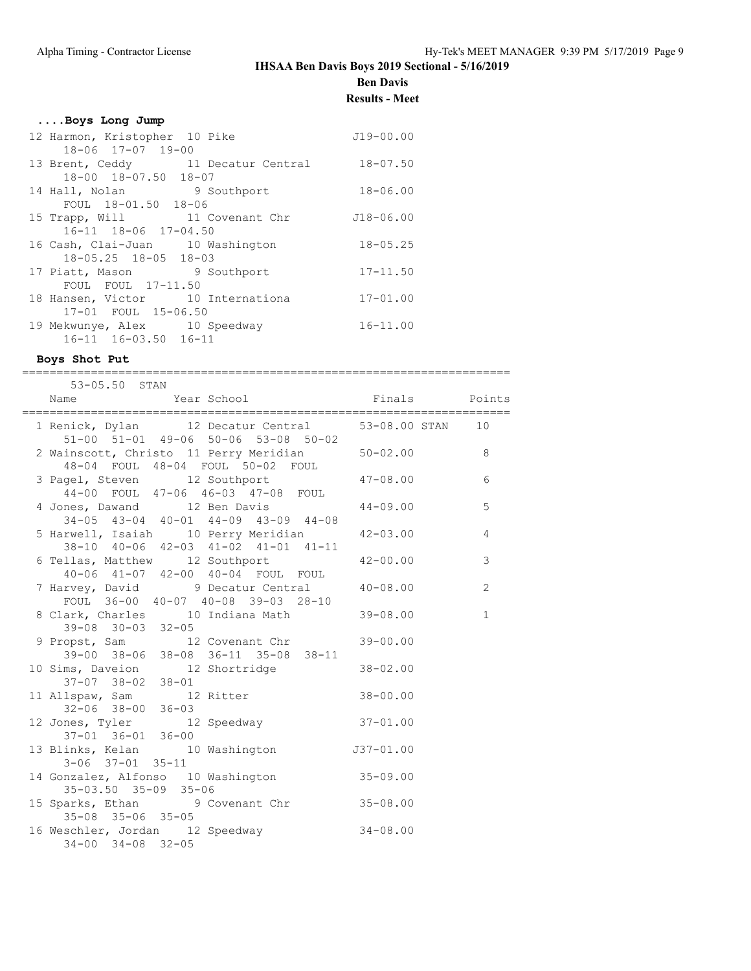**Ben Davis**

### **Results - Meet**

|  |  |  | Boys Long Jump |  |  |
|--|--|--|----------------|--|--|
|--|--|--|----------------|--|--|

| 12 Harmon, Kristopher 10 Pike     |                                    | $J19 - 00.00$ |
|-----------------------------------|------------------------------------|---------------|
| 18-06 17-07 19-00                 |                                    |               |
|                                   | 13 Brent, Ceddy 11 Decatur Central | $18 - 07.50$  |
| 18-00 18-07.50 18-07              |                                    |               |
| 14 Hall, Nolan 9 Southport        |                                    | $18 - 06.00$  |
| FOUL 18-01.50 18-06               |                                    |               |
| 15 Trapp, Will 11 Covenant Chr    |                                    | $J18 - 06.00$ |
| 16-11 18-06 17-04.50              |                                    |               |
| 16 Cash, Clai-Juan 10 Washington  |                                    | $18 - 05.25$  |
| 18-05.25 18-05 18-03              |                                    |               |
| 17 Piatt, Mason 9 Southport       |                                    | $17 - 11.50$  |
| FOUL FOUL 17-11.50                |                                    |               |
| 18 Hansen, Victor 10 Internationa |                                    | $17 - 01.00$  |
| 17-01 FOUL 15-06.50               |                                    |               |
| 19 Mekwunye, Alex 10 Speedway     |                                    | $16 - 11.00$  |
| 16-11 16-03.50 16-11              |                                    |               |

### **Boys Shot Put**

=======================================================================

| 53-05.50 STAN                                                                                                       |                |
|---------------------------------------------------------------------------------------------------------------------|----------------|
| Name                                                                                                                |                |
| 1 Renick, Dylan 12 Decatur Central 53-08.00 STAN 10<br>51-00 51-01 49-06 50-06 53-08 50-02                          |                |
| 2 Wainscott, Christo 11 Perry Meridian 50-02.00 8<br>48-04 FOUL 48-04 FOUL 50-02 FOUL                               |                |
| 3 Pagel, Steven 12 Southport 47-08.00<br>44-00 FOUL 47-06 46-03 47-08 FOUL                                          | 6              |
| 4 Jones, Dawand 12 Ben Davis 44-09.00<br>$34-05$ $43-04$ $40-01$ $44-09$ $43-09$ $44-08$                            | 5              |
| 5 Harwell, Isaiah 10 Perry Meridian 12-03.00                                                                        | $\overline{4}$ |
| 38-10 40-06 42-03 41-02 41-01 41-11<br>6 Tellas, Matthew 12 Southport 42-00.00<br>40-06 41-07 42-00 40-04 FOUL FOUL | $\mathcal{E}$  |
| 7 Harvey, David 9 Decatur Central 40-08.00<br>FOUL 36-00 40-07 40-08 39-03 28-10                                    | 2              |
| 8 Clark, Charles 10 Indiana Math 39-08.00<br>$39 - 08$ $30 - 03$ $32 - 05$                                          | $\mathbf{1}$   |
| 9 Propst, Sam 12 Covenant Chr 39-00.00<br>39-00 38-06 38-08 36-11 35-08 38-11                                       |                |
| 10 Sims, Daveion 12 Shortridge 38-02.00<br>$37-07$ $38-02$ $38-01$                                                  |                |
| 11 Allspaw, Sam 12 Ritter 38-00.00<br>$32 - 06$ $38 - 00$ $36 - 03$                                                 |                |
| 12 Jones, Tyler 12 Speedway 37-01.00<br>37-01 36-01 36-00                                                           |                |
| 13 Blinks, Kelan 10 Washington 537-01.00<br>$3 - 06$ $37 - 01$ $35 - 11$                                            |                |
| 14 Gonzalez, Alfonso 10 Washington 35-09.00<br>35-03.50 35-09 35-06                                                 |                |
| 15 Sparks, Ethan 9 Covenant Chr 35-08.00<br>35-08 35-06 35-05                                                       |                |
| 16 Weschler, Jordan 12 Speedway 34-08.00<br>$34 - 00$ $34 - 08$ $32 - 05$                                           |                |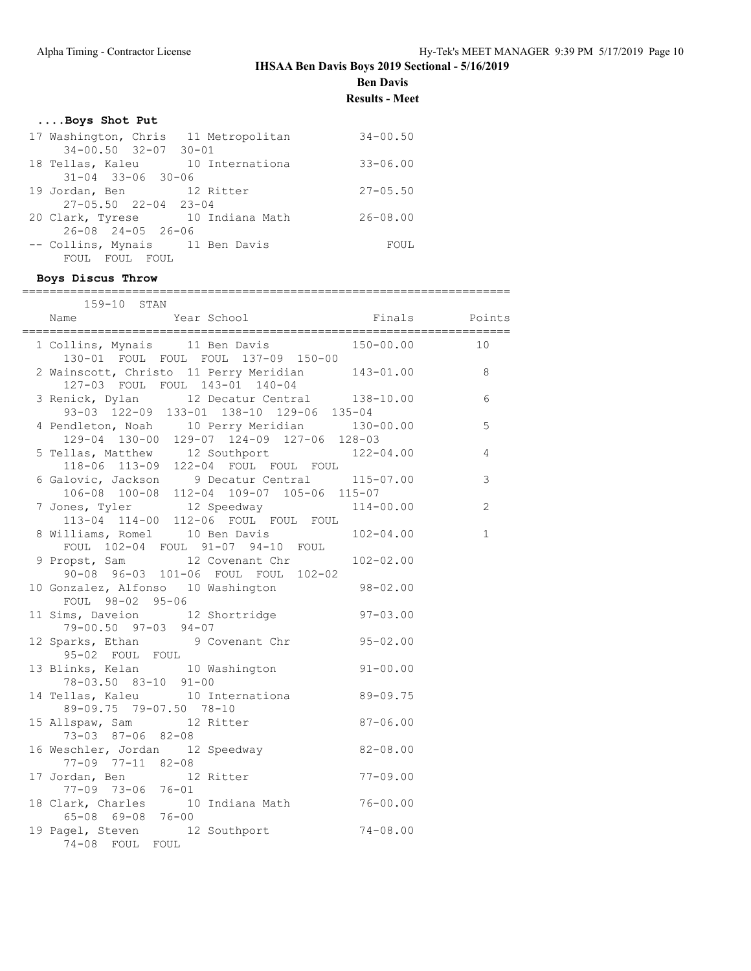**Ben Davis**

**Results - Meet**

# **....Boys Shot Put**

| 17 Washington, Chris 11 Metropolitan | $34 - 00.50$ |
|--------------------------------------|--------------|
| $34 - 00.50$ $32 - 07$ $30 - 01$     |              |
| 18 Tellas, Kaleu 10 Internationa     | $33 - 06.00$ |
| $31 - 04$ $33 - 06$ $30 - 06$        |              |
| 19 Jordan, Ben 12 Ritter             | $27 - 05.50$ |
| $27 - 05.50$ $22 - 04$ $23 - 04$     |              |
| 20 Clark, Tyrese 10 Indiana Math     | $26 - 08.00$ |
| $26 - 08$ $24 - 05$ $26 - 06$        |              |
| -- Collins, Mynais 11 Ben Davis      | FOUL         |
| FOUL FOUL<br>FOUL                    |              |

#### **Boys Discus Throw**

| 159-10 STAN                                                                                                                |                |
|----------------------------------------------------------------------------------------------------------------------------|----------------|
|                                                                                                                            |                |
| 1 Collins, Mynais 11 Ben Davis 150-00.00<br>130-01 FOUL FOUL FOUL 137-09 150-00                                            | 10             |
| 2 Wainscott, Christo 11 Perry Meridian 143-01.00 8                                                                         |                |
| 127-03 FOUL FOUL 143-01 140-04<br>3 Renick, Dylan 12 Decatur Central 138-10.00<br>93-03 122-09 133-01 138-10 129-06 135-04 | 6              |
| 4 Pendleton, Noah 10 Perry Meridian 130-00.00<br>129-04 130-00 129-07 124-09 127-06 128-03                                 | 5              |
| 5 Tellas, Matthew 12 Southport 122-04.00<br>118-06 113-09 122-04 FOUL FOUL FOUL                                            | $\overline{4}$ |
| 6 Galovic, Jackson 9 Decatur Central 115-07.00<br>106-08 100-08 112-04 109-07 105-06 115-07                                | 3              |
| 7 Jones, Tyler 12 Speedway 114-00.00<br>113-04 114-00 112-06 FOUL FOUL FOUL                                                | 2              |
| 8 Williams, Romel 10 Ben Davis 102-04.00<br>FOUL 102-04 FOUL 91-07 94-10 FOUL                                              | $\mathbf{1}$   |
| 9 Propst, Sam 12 Covenant Chr 102-02.00<br>90-08 96-03 101-06 FOUL FOUL 102-02                                             |                |
| 10 Gonzalez, Alfonso 10 Washington 98-02.00<br>FOUL 98-02 95-06                                                            |                |
| 11 Sims, Daveion 12 Shortridge 97-03.00<br>$79 - 00.50$ $97 - 03$ $94 - 07$                                                |                |
| 12 Sparks, Ethan 9 Covenant Chr 95-02.00<br>95-02 FOUL FOUL                                                                |                |
| 13 Blinks, Kelan 10 Washington 91-00.00<br>78-03.50 83-10 91-00                                                            |                |
| 14 Tellas, Kaleu 10 Internationa<br>89-09.75<br>89-09.75 79-07.50 78-10                                                    |                |
| 15 Allspaw, Sam 12 Ritter<br>$87 - 06.00$<br>73-03 87-06 82-08                                                             |                |
| 16 Weschler, Jordan 12 Speedway 62-08.00<br>$77 - 09$ $77 - 11$ $82 - 08$                                                  |                |
| $\frac{17}{17}$ Jordan, Ben $\frac{12}{12}$ Ritter 77-09.00<br>$77-09$ $73-06$ $76-01$                                     |                |
| 18 Clark, Charles 10 Indiana Math 76-00.00<br>65-08 69-08 76-00                                                            |                |
| 19 Pagel, Steven 12 Southport 74-08.00<br>74-08 FOUL FOUL                                                                  |                |
|                                                                                                                            |                |